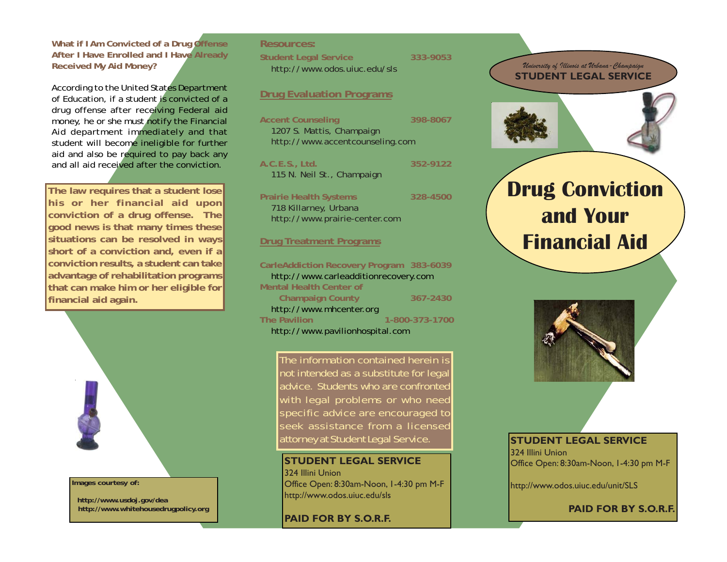### **What if I Am Convicted of a Drug Offense After I Have Enrolled and I Have Already Received My Aid Money?**

According to the United States Department of Education, if a student is convicted of a drug offense after receiving Federal aid money, he or she must notify the Financial Aid department immediately and that student will become ineligible for further aid and also be required to pay back any and all aid received after the conviction.

**The law requires that a student lose his or her financial aid upon conviction of a drug offense. The good news is that many times these situations can be resolved in ways short of a conviction and, even if a conviction results, a student can take advantage of rehabilitation programs that can make him or her eligible for financial aid again.**



#### **Images courtesy of:**

 **http://www.usdoj.gov/dea http://www.whitehousedrugpolicy.org**

# **Resources: Student Legal Service 333-9053** http://www.odos.uiuc.edu/sls

### **Drug Evaluation Programs**

| <b>Accent Counseling</b><br>1207 S. Mattis, Champaign<br>http://www.accentcounseling.com | 398-8067 |
|------------------------------------------------------------------------------------------|----------|
| A.C.E.S., Ltd.<br>115 N. Neil St., Champaign                                             | 352-9122 |
| <b>Prairie Health Systems</b><br>718 Killarney, Urbana<br>http://www.prairie-center.com  | 328-4500 |
| <b>Drug Treatment Programs</b>                                                           |          |
| CarleAddiction Recovery Program 383-6039<br>http://www.carleadditionrecovery.com         |          |

**Mental Health Center of Champaign County 367-2430** http://www.mhcenter.org **The Pavilion 1-800-373-1700** http://www.pavilionhospital.com

The information contained herein is not intended as a substitute for legal advice. Students who are confronted with legal problems or who need specific advice are encouraged to seek assistance from a licensed attorney at Student Legal Service.

**STUDENT LEGAL SERVICE** 324 Illini Union Office Open: 8:30am-Noon, 1-4:30 pm M-F http://www.odos.uiuc.edu/sls

**PAID FOR BY S.O.R.F.**



*University of Illinois at Urbana-Champaign*



#### **STUDENT LEGAL SERVICE**

324 Illini Union Office Open: 8:30am-Noon, 1-4:30 pm M-F

http://www.odos.uiuc.edu/unit/SLS

**PAID FOR BY S.O.R.F.**